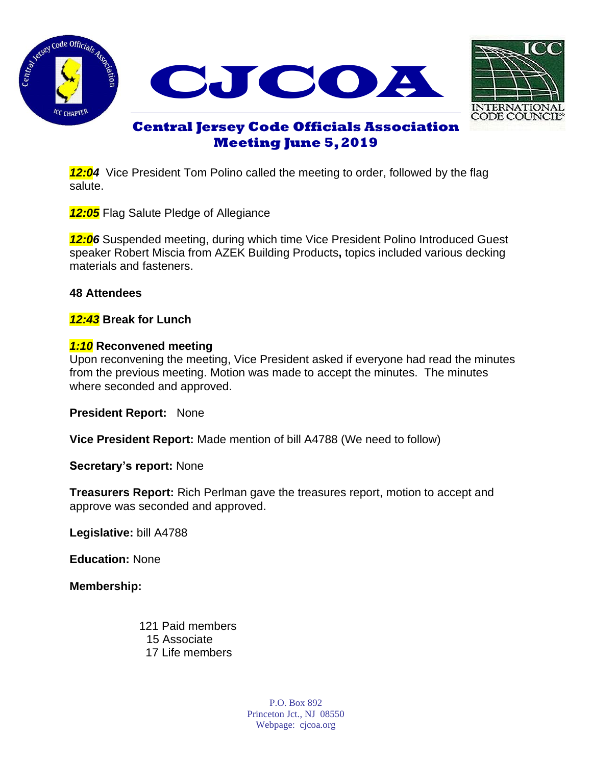





# **Central Jersey Code Officials Association Meeting June 5, 2019**

**12:04** Vice President Tom Polino called the meeting to order, followed by the flag salute.

*12:05* Flag Salute Pledge of Allegiance

*12:06* Suspended meeting, during which time Vice President Polino Introduced Guest speaker Robert Miscia from AZEK Building Products**,** topics included various decking materials and fasteners.

## **48 Attendees**

*12:43* **Break for Lunch**

## *1:10* **Reconvened meeting**

Upon reconvening the meeting, Vice President asked if everyone had read the minutes from the previous meeting. Motion was made to accept the minutes. The minutes where seconded and approved.

**President Report:** None

**Vice President Report:** Made mention of bill A4788 (We need to follow)

**Secretary's report:** None

**Treasurers Report:** Rich Perlman gave the treasures report, motion to accept and approve was seconded and approved.

**Legislative:** bill A4788

**Education:** None

**Membership:** 

 121 Paid members 15 Associate 17 Life members

> P.O. Box 892 Princeton Jct., NJ 08550 Webpage: cjcoa.org